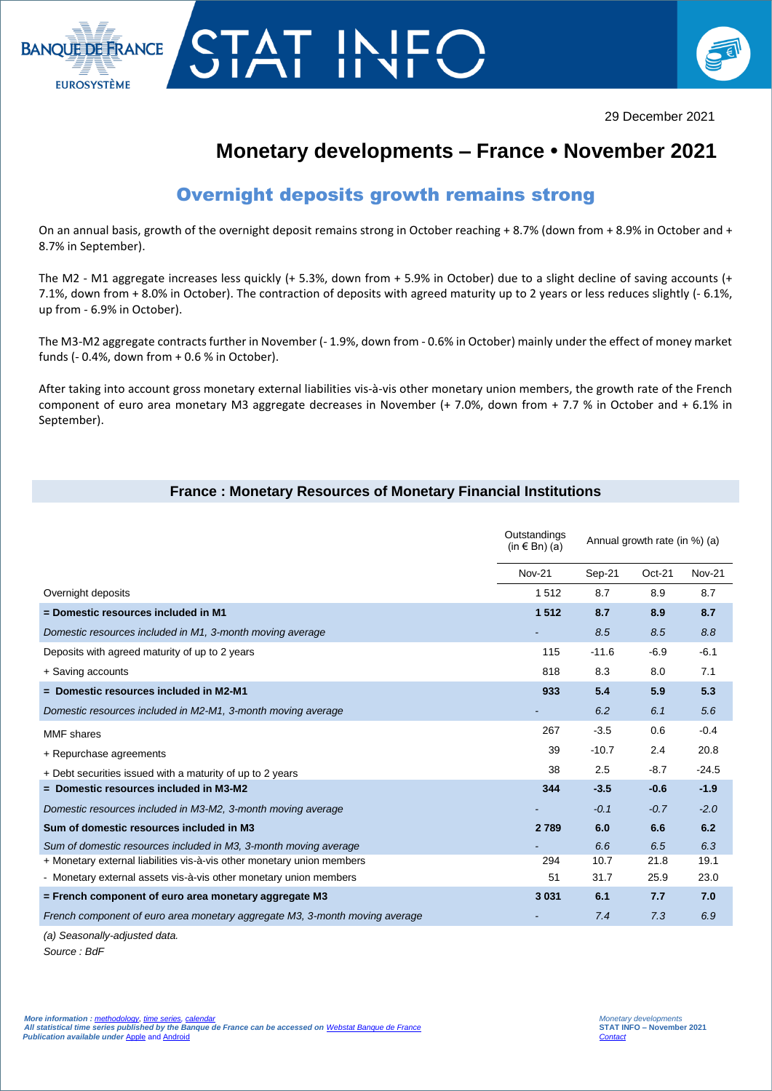



# **Monetary developments – France • November 2021**

## Overnight deposits growth remains strong

On an annual basis, growth of the overnight deposit remains strong in October reaching + 8.7% (down from + 8.9% in October and + 8.7% in September).

The M2 - M1 aggregate increases less quickly (+ 5.3%, down from + 5.9% in October) due to a slight decline of saving accounts (+ 7.1%, down from + 8.0% in October). The contraction of deposits with agreed maturity up to 2 years or less reduces slightly (- 6.1%, up from - 6.9% in October).

The M3-M2 aggregate contracts further in November (-1.9%, down from -0.6% in October) mainly under the effect of money market funds (- 0.4%, down from + 0.6 % in October).

After taking into account gross monetary external liabilities vis-à-vis other monetary union members, the growth rate of the French component of euro area monetary M3 aggregate decreases in November (+ 7.0%, down from + 7.7 % in October and + 6.1% in September).

### **France : Monetary Resources of Monetary Financial Institutions**

|                                                                             | Outstandings<br>(in € Bn) (a) | Annual growth rate (in %) (a) |          |               |
|-----------------------------------------------------------------------------|-------------------------------|-------------------------------|----------|---------------|
|                                                                             | <b>Nov-21</b>                 | Sep-21                        | $Oct-21$ | <b>Nov-21</b> |
| Overnight deposits                                                          | 1512                          | 8.7                           | 8.9      | 8.7           |
| = Domestic resources included in M1                                         | 1512                          | 8.7                           | 8.9      | 8.7           |
| Domestic resources included in M1, 3-month moving average                   |                               | 8.5                           | 8.5      | 8.8           |
| Deposits with agreed maturity of up to 2 years                              | 115                           | $-11.6$                       | $-6.9$   | $-6.1$        |
| + Saving accounts                                                           | 818                           | 8.3                           | 8.0      | 7.1           |
| $=$ Domestic resources included in M2-M1                                    | 933                           | 5.4                           | 5.9      | 5.3           |
| Domestic resources included in M2-M1, 3-month moving average                |                               | 6.2                           | 6.1      | 5.6           |
| <b>MMF</b> shares                                                           | 267                           | $-3.5$                        | 0.6      | $-0.4$        |
| + Repurchase agreements                                                     | 39                            | $-10.7$                       | 2.4      | 20.8          |
| + Debt securities issued with a maturity of up to 2 years                   | 38                            | 2.5                           | $-8.7$   | $-24.5$       |
| = Domestic resources included in M3-M2                                      | 344                           | $-3.5$                        | $-0.6$   | $-1.9$        |
| Domestic resources included in M3-M2, 3-month moving average                |                               | $-0.1$                        | $-0.7$   | $-2.0$        |
| Sum of domestic resources included in M3                                    | 2789                          | 6.0                           | 6.6      | 6.2           |
| Sum of domestic resources included in M3, 3-month moving average            |                               | 6.6                           | 6.5      | 6.3           |
| + Monetary external liabilities vis-à-vis other monetary union members      | 294                           | 10.7                          | 21.8     | 19.1          |
| - Monetary external assets vis-à-vis other monetary union members           | 51                            | 31.7                          | 25.9     | 23.0          |
| = French component of euro area monetary aggregate M3                       | 3 0 3 1                       | 6.1                           | 7.7      | 7.0           |
| French component of euro area monetary aggregate M3, 3-month moving average |                               | 7.4                           | 7.3      | 6.9           |

*(a) Seasonally-adjusted data.*

*Source : BdF*

I